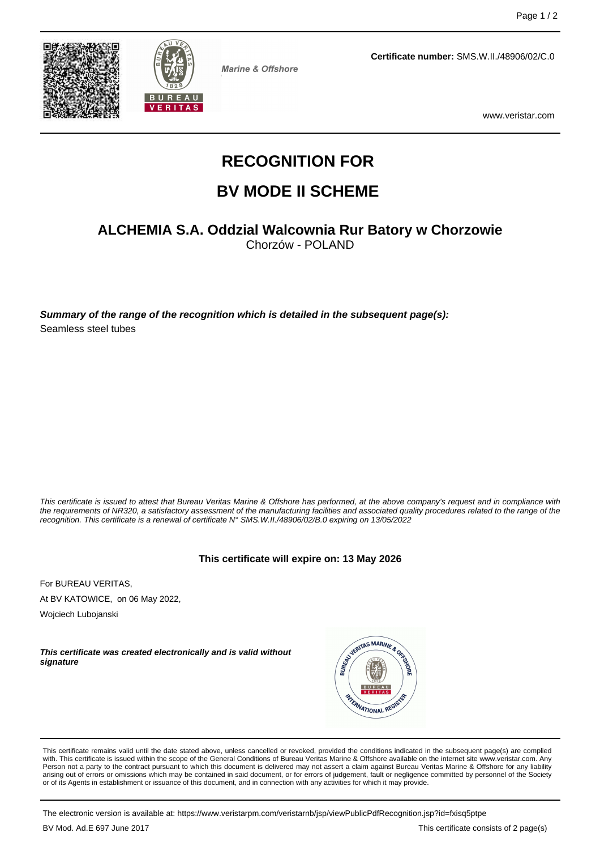



**Marine & Offshore** 

**Certificate number:** SMS.W.II./48906/02/C.0

www.veristar.com

# **RECOGNITION FOR**

# **BV MODE II SCHEME**

## **ALCHEMIA S.A. Oddzial Walcownia Rur Batory w Chorzowie**

Chorzów - POLAND

**Summary of the range of the recognition which is detailed in the subsequent page(s):** Seamless steel tubes

This certificate is issued to attest that Bureau Veritas Marine & Offshore has performed, at the above company's request and in compliance with the requirements of NR320, a satisfactory assessment of the manufacturing facilities and associated quality procedures related to the range of the recognition. This certificate is a renewal of certificate N° SMS.W.II./48906/02/B.0 expiring on 13/05/2022

#### **This certificate will expire on: 13 May 2026**

For BUREAU VERITAS, At BV KATOWICE, on 06 May 2022,

Wojciech Lubojanski

**This certificate was created electronically and is valid without signature**



This certificate remains valid until the date stated above, unless cancelled or revoked, provided the conditions indicated in the subsequent page(s) are complied with. This certificate is issued within the scope of the General Conditions of Bureau Veritas Marine & Offshore available on the internet site www.veristar.com. Any Person not a party to the contract pursuant to which this document is delivered may not assert a claim against Bureau Veritas Marine & Offshore for any liability arising out of errors or omissions which may be contained in said document, or for errors of judgement, fault or negligence committed by personnel of the Society<br>or of its Agents in establishment or issuance of this docume

The electronic version is available at: https://www.veristarpm.com/veristarnb/jsp/viewPublicPdfRecognition.jsp?id=fxisq5ptpe